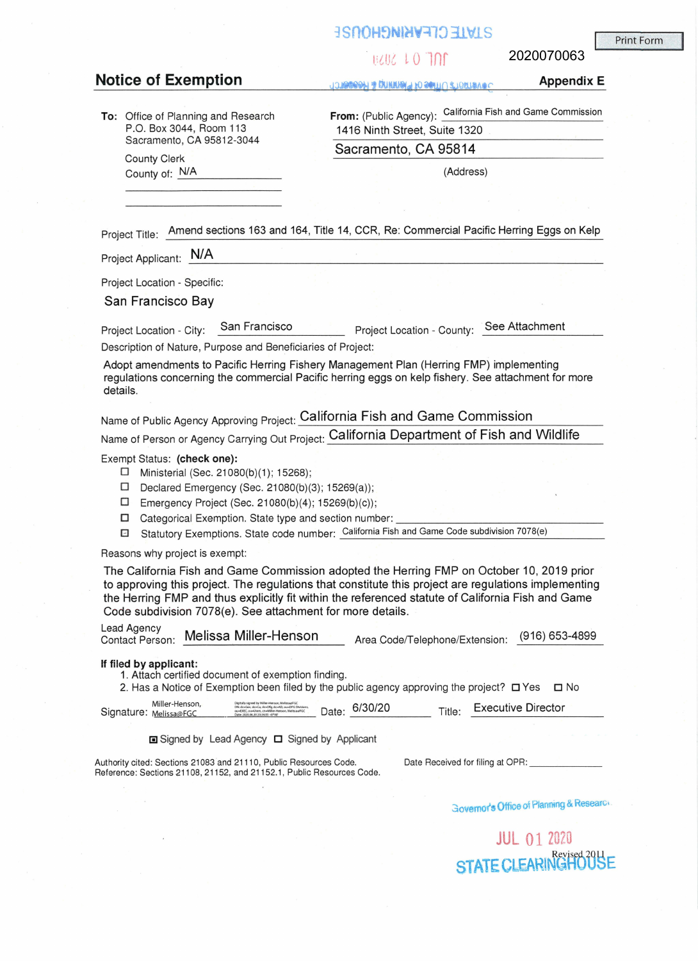# **jsnOH~NU4V:tl~ 31'11S**

## 11202 LO 100

2020070063

## **Notice of Exemption** Appendix E **Appendix E**

**To:** Office of Planning and Research P.O. Box 3044, Room 113 Sacramento, CA 95812-3044

**From:** (Public Agency): California Fish and Game Commission 1416 Ninth Street, Suite 1320

County Clerk County Clerk

County of:  $N/A$  (Address)

Project Title: Amend sections 163 and 164, Title 14, CCR, Re: Commercial Pacific Herring Eggs on Kelp

Project Applicant: N/A

Project Location - Specific:

San Francisco Bay

Project Location - City: San Francisco Project Location - County: See Attachment

Description of Nature, Purpose and Beneficiaries of Project:

Adopt amendments to Pacific Herring Fishery Management Plan (Herring FMP) implementing regulations concerning the commercial Pacific herring eggs on kelp fishery. See attachment for more details.

Name of Public Agency Approving Project: California Fish and Game Commission

Name of Person or Agency Carrying Out Project: **California Department of Fish and Wildlife** 

Exempt Status: **{check one):** 

- □ Ministerial (Sec. 21080(b)(1 ); 15268);
- □ Declared Emergency (Sec. 21080(b)(3); 15269(a));
- □ Emergency Project (Sec. 21080(b)(4); 15269(b)(c));
- □ Categorical Exemption. State type and section number:
- El Statutory Exemptions. State code number: California Fish and Game Code subdivision 7078(e)

Reasons why project is exempt:

The California Fish and Game Commission adopted the Herring FMP on October 10, 2019 prior to approving this project. The regulations that constitute this project are regulations implementing the Herring FMP and thus explicitly fit within the referenced statute of California Fish and Game Code subdivision 7078(e). See attachment for more details.

| Lead Agency | Contact Person: Melissa Miller-Henson | Area Code/Telephone/Extension: (916) 653-4895 |  |
|-------------|---------------------------------------|-----------------------------------------------|--|
|             |                                       |                                               |  |

#### **If filed by applicant:**

1. Attach certified document of exemption finding.

2. Has a Notice of Exemption been filed by the public agency approving the project?  $\Box$  Yes  $\Box$  No

| $\sim$<br>Signature: Melissa@FGC | Miller-Henson, | Digitally signed by Miller-Henson, Mellssa@FGC<br>DN: dc=Gov, dc=Ca, dc=Dfg, dc=AD, ou=DFG Divisions,<br>ou=EXEC, ou=Users, cn=Miller-Henson, MelissauFGC<br>Date: 2020.06.30 20:36:55 -0700* | Date: | 6/30/20 | Title. | Executive Director |
|----------------------------------|----------------|-----------------------------------------------------------------------------------------------------------------------------------------------------------------------------------------------|-------|---------|--------|--------------------|
|                                  |                |                                                                                                                                                                                               |       |         |        |                    |

■ Signed by Lead Agency □ Signed by Applicant

Authority cited: Sections 21083 and 21110, Public Resources Code. Reference: Sections 21108, 21152, and 21152.1, Public Resources Code. Date Received for filing at OPR:

 $3$ **ovemor's Office of Planning & Researct** 

JUL O 1 2020 STATE CLEARINGHOUSE